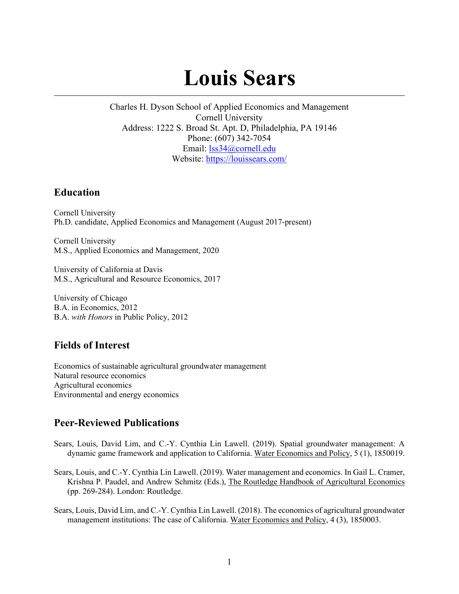# **Louis Sears**

Charles H. Dyson School of Applied Economics and Management Cornell University Address: 1222 S. Broad St. Apt. D, Philadelphia, PA 19146 Phone: (607) 342-7054 Email: [lss34@cornell.edu](mailto:lss34@cornell.edu) Website:<https://louissears.com/>

### **Education**

Cornell University Ph.D. candidate, Applied Economics and Management (August 2017-present)

Cornell University M.S., Applied Economics and Management, 2020

University of California at Davis M.S., Agricultural and Resource Economics, 2017

University of Chicago B.A. in Economics, 2012 B.A. *with Honors* in Public Policy, 2012

# **Fields of Interest**

Economics of sustainable agricultural groundwater management Natural resource economics Agricultural economics Environmental and energy economics

# **Peer-Reviewed Publications**

- Sears, Louis, David Lim, and C.-Y. Cynthia Lin Lawell. (2019). Spatial groundwater management: A dynamic game framework and application to California. Water Economics and Policy, 5 (1), 1850019.
- Sears, Louis, and C.-Y. Cynthia Lin Lawell. (2019). Water management and economics. In Gail L. Cramer, Krishna P. Paudel, and Andrew Schmitz (Eds.), The Routledge Handbook of Agricultural Economics (pp. 269-284). London: Routledge.
- Sears, Louis, David Lim, and C.-Y. Cynthia Lin Lawell. (2018). The economics of agricultural groundwater management institutions: The case of California. Water Economics and Policy, 4 (3), 1850003.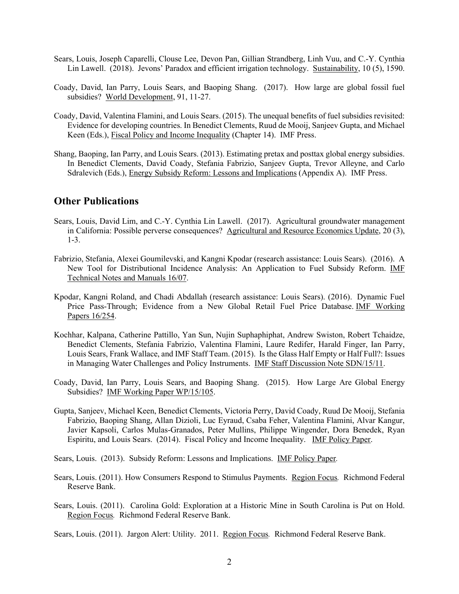- Sears, Louis, Joseph Caparelli, Clouse Lee, Devon Pan, Gillian Strandberg, Linh Vuu, and C.-Y. Cynthia Lin Lawell. (2018). Jevons' Paradox and efficient irrigation technology. Sustainability, 10 (5), 1590.
- Coady, David, Ian Parry, Louis Sears, and Baoping Shang. (2017). How large are global fossil fuel subsidies? World Development, 91, 11-27.
- Coady, David, Valentina Flamini, and Louis Sears. (2015). The unequal benefits of fuel subsidies revisited: Evidence for developing countries. In Benedict Clements, Ruud de Mooij, Sanjeev Gupta, and Michael Keen (Eds.), Fiscal Policy and Income Inequality (Chapter 14). IMF Press.
- Shang, Baoping, Ian Parry, and Louis Sears. (2013). Estimating pretax and posttax global energy subsidies. In Benedict Clements, David Coady, Stefania Fabrizio, Sanjeev Gupta, Trevor Alleyne, and Carlo Sdralevich (Eds.), Energy Subsidy Reform: Lessons and Implications (Appendix A). IMF Press.

#### **Other Publications**

- Sears, Louis, David Lim, and C.-Y. Cynthia Lin Lawell. (2017). Agricultural groundwater management in California: Possible perverse consequences? Agricultural and Resource Economics Update, 20 (3), 1-3.
- Fabrizio, Stefania, Alexei Goumilevski, and Kangni Kpodar (research assistance: Louis Sears). (2016). A New Tool for Distributional Incidence Analysis: An Application to Fuel Subsidy Reform. IMF Technical Notes and Manuals 16/07.
- Kpodar, Kangni Roland, and Chadi Abdallah (research assistance: Louis Sears). (2016). Dynamic Fuel Price Pass-Through; Evidence from a New Global Retail Fuel Price Database. IMF Working Papers 16/254.
- Kochhar, Kalpana, Catherine Pattillo, Yan Sun, Nujin Suphaphiphat, Andrew Swiston, Robert Tchaidze, Benedict Clements, Stefania Fabrizio, Valentina Flamini, Laure Redifer, Harald Finger, Ian Parry, Louis Sears, Frank Wallace, and IMF Staff Team. (2015). Is the Glass Half Empty or Half Full?: Issues in Managing Water Challenges and Policy Instruments. IMF Staff Discussion Note SDN/15/11.
- Coady, David, Ian Parry, Louis Sears, and Baoping Shang. (2015). How Large Are Global Energy Subsidies? IMF Working Paper WP/15/105.
- Gupta, Sanjeev, Michael Keen, Benedict Clements, Victoria Perry, David Coady, Ruud De Mooij, Stefania Fabrizio, Baoping Shang, Allan Dizioli, Luc Eyraud, Csaba Feher, Valentina Flamini, Alvar Kangur, Javier Kapsoli, Carlos Mulas-Granados, Peter Mullins, Philippe Wingender, Dora Benedek, Ryan Espiritu, and Louis Sears. (2014). Fiscal Policy and Income Inequality. IMF Policy Paper.

Sears, Louis. (2013). Subsidy Reform: Lessons and Implications. IMF Policy Paper*.* 

- Sears, Louis. (2011). How Consumers Respond to Stimulus Payments. Region Focus*.* Richmond Federal Reserve Bank.
- Sears, Louis. (2011). Carolina Gold: Exploration at a Historic Mine in South Carolina is Put on Hold. Region Focus*.* Richmond Federal Reserve Bank.

Sears, Louis. (2011). Jargon Alert: Utility. 2011. Region Focus*.* Richmond Federal Reserve Bank.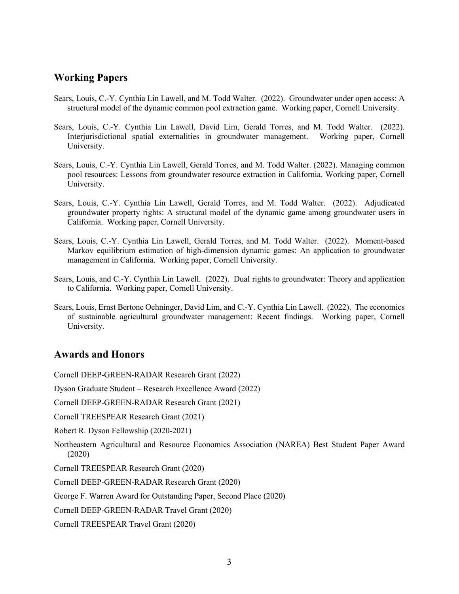## **Working Papers**

- Sears, Louis, C.-Y. Cynthia Lin Lawell, and M. Todd Walter. (2022). Groundwater under open access: A structural model of the dynamic common pool extraction game. Working paper, Cornell University.
- Sears, Louis, C.-Y. Cynthia Lin Lawell, David Lim, Gerald Torres, and M. Todd Walter. (2022). Interjurisdictional spatial externalities in groundwater management. Working paper, Cornell University.
- Sears, Louis, C.-Y. Cynthia Lin Lawell, Gerald Torres, and M. Todd Walter. (2022). Managing common pool resources: Lessons from groundwater resource extraction in California. Working paper, Cornell University.
- Sears, Louis, C.-Y. Cynthia Lin Lawell, Gerald Torres, and M. Todd Walter. (2022). Adjudicated groundwater property rights: A structural model of the dynamic game among groundwater users in California. Working paper, Cornell University.
- Sears, Louis, C.-Y. Cynthia Lin Lawell, Gerald Torres, and M. Todd Walter. (2022). Moment-based Markov equilibrium estimation of high-dimension dynamic games: An application to groundwater management in California. Working paper, Cornell University.
- Sears, Louis, and C.-Y. Cynthia Lin Lawell. (2022). Dual rights to groundwater: Theory and application to California. Working paper, Cornell University.
- Sears, Louis, Ernst Bertone Oehninger, David Lim, and C.-Y. Cynthia Lin Lawell. (2022). The economics of sustainable agricultural groundwater management: Recent findings. Working paper, Cornell University.

## **Awards and Honors**

Cornell DEEP-GREEN-RADAR Research Grant (2022)

Dyson Graduate Student – Research Excellence Award (2022)

Cornell DEEP-GREEN-RADAR Research Grant (2021)

Cornell TREESPEAR Research Grant (2021)

Robert R. Dyson Fellowship (2020-2021)

Northeastern Agricultural and Resource Economics Association (NAREA) Best Student Paper Award (2020)

Cornell TREESPEAR Research Grant (2020)

Cornell DEEP-GREEN-RADAR Research Grant (2020)

George F. Warren Award for Outstanding Paper, Second Place (2020)

Cornell DEEP-GREEN-RADAR Travel Grant (2020)

Cornell TREESPEAR Travel Grant (2020)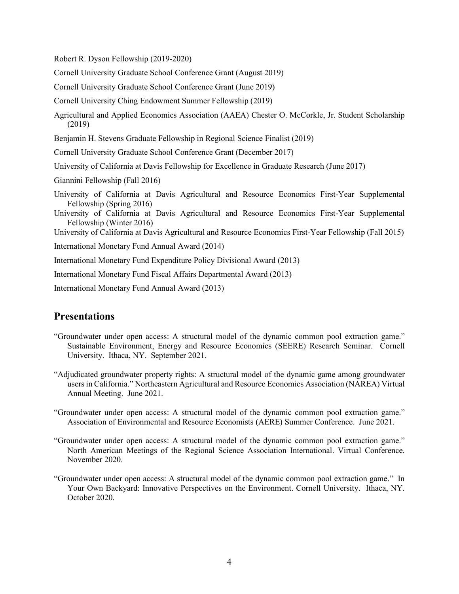Robert R. Dyson Fellowship (2019-2020)

Cornell University Graduate School Conference Grant (August 2019)

Cornell University Graduate School Conference Grant (June 2019)

Cornell University Ching Endowment Summer Fellowship (2019)

Agricultural and Applied Economics Association (AAEA) Chester O. McCorkle, Jr. Student Scholarship (2019)

Benjamin H. Stevens Graduate Fellowship in Regional Science Finalist (2019)

Cornell University Graduate School Conference Grant (December 2017)

University of California at Davis Fellowship for Excellence in Graduate Research (June 2017)

Giannini Fellowship (Fall 2016)

University of California at Davis Agricultural and Resource Economics First-Year Supplemental Fellowship (Spring 2016)

University of California at Davis Agricultural and Resource Economics First-Year Supplemental Fellowship (Winter 2016)

University of California at Davis Agricultural and Resource Economics First-Year Fellowship (Fall 2015)

International Monetary Fund Annual Award (2014)

International Monetary Fund Expenditure Policy Divisional Award (2013)

International Monetary Fund Fiscal Affairs Departmental Award (2013)

International Monetary Fund Annual Award (2013)

#### **Presentations**

- "Groundwater under open access: A structural model of the dynamic common pool extraction game." Sustainable Environment, Energy and Resource Economics (SEERE) Research Seminar. Cornell University. Ithaca, NY. September 2021.
- "Adjudicated groundwater property rights: A structural model of the dynamic game among groundwater users in California." Northeastern Agricultural and Resource Economics Association (NAREA) Virtual Annual Meeting. June 2021.
- "Groundwater under open access: A structural model of the dynamic common pool extraction game." Association of Environmental and Resource Economists (AERE) Summer Conference. June 2021.
- "Groundwater under open access: A structural model of the dynamic common pool extraction game." North American Meetings of the Regional Science Association International. Virtual Conference. November 2020.
- "Groundwater under open access: A structural model of the dynamic common pool extraction game." In Your Own Backyard: Innovative Perspectives on the Environment. Cornell University. Ithaca, NY. October 2020.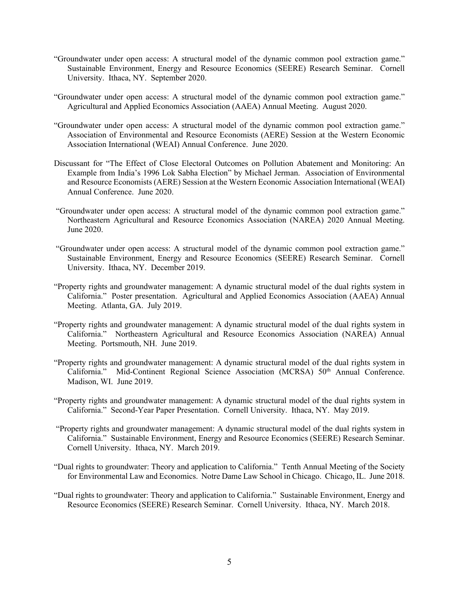- "Groundwater under open access: A structural model of the dynamic common pool extraction game." Sustainable Environment, Energy and Resource Economics (SEERE) Research Seminar. Cornell University. Ithaca, NY. September 2020.
- "Groundwater under open access: A structural model of the dynamic common pool extraction game." Agricultural and Applied Economics Association (AAEA) Annual Meeting. August 2020.
- "Groundwater under open access: A structural model of the dynamic common pool extraction game." Association of Environmental and Resource Economists (AERE) Session at the Western Economic Association International (WEAI) Annual Conference. June 2020.
- Discussant for "The Effect of Close Electoral Outcomes on Pollution Abatement and Monitoring: An Example from India's 1996 Lok Sabha Election" by Michael Jerman. Association of Environmental and Resource Economists (AERE) Session at the Western Economic Association International (WEAI) Annual Conference. June 2020.
- "Groundwater under open access: A structural model of the dynamic common pool extraction game." Northeastern Agricultural and Resource Economics Association (NAREA) 2020 Annual Meeting. June 2020.
- "Groundwater under open access: A structural model of the dynamic common pool extraction game." Sustainable Environment, Energy and Resource Economics (SEERE) Research Seminar. Cornell University. Ithaca, NY. December 2019.
- "Property rights and groundwater management: A dynamic structural model of the dual rights system in California." Poster presentation. Agricultural and Applied Economics Association (AAEA) Annual Meeting. Atlanta, GA. July 2019.
- "Property rights and groundwater management: A dynamic structural model of the dual rights system in California." Northeastern Agricultural and Resource Economics Association (NAREA) Annual Meeting. Portsmouth, NH. June 2019.
- "Property rights and groundwater management: A dynamic structural model of the dual rights system in California." Mid-Continent Regional Science Association (MCRSA) 50<sup>th</sup> Annual Conference. Madison, WI. June 2019.
- "Property rights and groundwater management: A dynamic structural model of the dual rights system in California." Second-Year Paper Presentation. Cornell University. Ithaca, NY. May 2019.
- "Property rights and groundwater management: A dynamic structural model of the dual rights system in California." Sustainable Environment, Energy and Resource Economics (SEERE) Research Seminar. Cornell University. Ithaca, NY. March 2019.
- "Dual rights to groundwater: Theory and application to California." Tenth Annual Meeting of the Society for Environmental Law and Economics. Notre Dame Law School in Chicago. Chicago, IL. June 2018.
- "Dual rights to groundwater: Theory and application to California." Sustainable Environment, Energy and Resource Economics (SEERE) Research Seminar. Cornell University. Ithaca, NY. March 2018.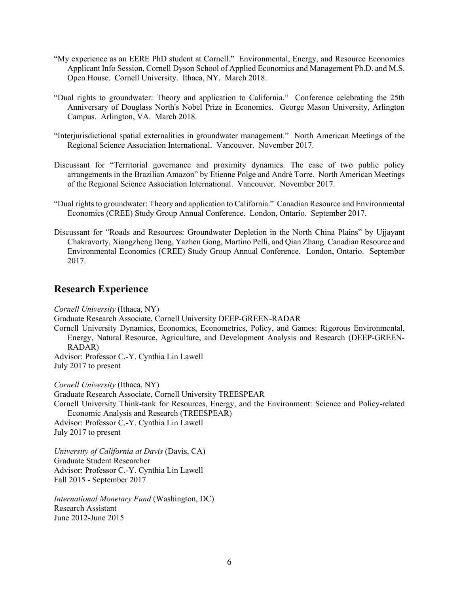- "My experience as an EERE PhD student at Cornell." Environmental, Energy, and Resource Economics Applicant Info Session, Cornell Dyson School of Applied Economics and Management Ph.D. and M.S. Open House. Cornell University. Ithaca, NY. March 2018.
- "Dual rights to groundwater: Theory and application to California." Conference celebrating the 25th Anniversary of Douglass North's Nobel Prize in Economics. George Mason University, Arlington Campus. Arlington, VA. March 2018.
- "Interjurisdictional spatial externalities in groundwater management." North American Meetings of the Regional Science Association International. Vancouver. November 2017.
- Discussant for "Territorial governance and proximity dynamics. The case of two public policy arrangements in the Brazilian Amazon" by Etienne Polge and André Torre. North American Meetings of the Regional Science Association International. Vancouver. November 2017.
- "Dual rights to groundwater: Theory and application to California." Canadian Resource and Environmental Economics (CREE) Study Group Annual Conference. London, Ontario. September 2017.
- Discussant for "Roads and Resources: Groundwater Depletion in the North China Plains" by Ujjayant Chakravorty, Xiangzheng Deng, Yazhen Gong, Martino Pelli, and Qian Zhang. Canadian Resource and Environmental Economics (CREE) Study Group Annual Conference. London, Ontario. September 2017.

#### **Research Experience**

*Cornell University* (Ithaca, NY) Graduate Research Associate, Cornell University DEEP-GREEN-RADAR Cornell University Dynamics, Economics, Econometrics, Policy, and Games: Rigorous Environmental, Energy, Natural Resource, Agriculture, and Development Analysis and Research (DEEP-GREEN-RADAR) Advisor: Professor C.-Y. Cynthia Lin Lawell July 2017 to present *Cornell University* (Ithaca, NY) Graduate Research Associate, Cornell University TREESPEAR Cornell University Think-tank for Resources, Energy, and the Environment: Science and Policy-related Economic Analysis and Research (TREESPEAR) Advisor: Professor C.-Y. Cynthia Lin Lawell July 2017 to present *University of California at Davis* (Davis, CA) Graduate Student Researcher Advisor: Professor C.-Y. Cynthia Lin Lawell Fall 2015 - September 2017

*International Monetary Fund* (Washington, DC) Research Assistant June 2012-June 2015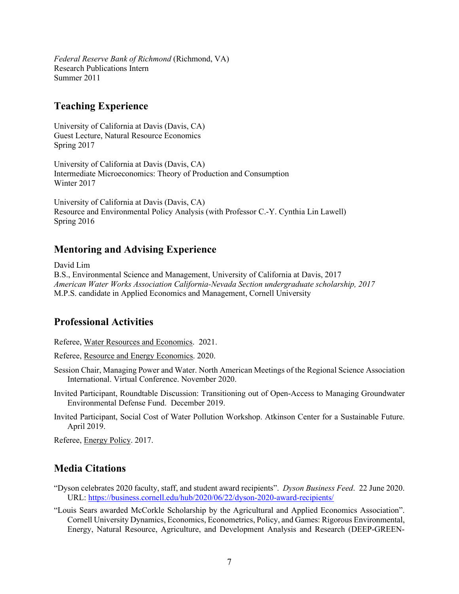*Federal Reserve Bank of Richmond* (Richmond, VA) Research Publications Intern Summer 2011

## **Teaching Experience**

University of California at Davis (Davis, CA) Guest Lecture, Natural Resource Economics Spring 2017

University of California at Davis (Davis, CA) Intermediate Microeconomics: Theory of Production and Consumption Winter 2017

University of California at Davis (Davis, CA) Resource and Environmental Policy Analysis (with Professor C.-Y. Cynthia Lin Lawell) Spring 2016

# **Mentoring and Advising Experience**

David Lim

B.S., Environmental Science and Management, University of California at Davis, 2017 *American Water Works Association California-Nevada Section undergraduate scholarship, 2017*  M.P.S. candidate in Applied Economics and Management, Cornell University

# **Professional Activities**

Referee, Water Resources and Economics. 2021.

Referee, Resource and Energy Economics. 2020.

- Session Chair, Managing Power and Water. North American Meetings of the Regional Science Association International. Virtual Conference. November 2020.
- Invited Participant, Roundtable Discussion: Transitioning out of Open-Access to Managing Groundwater Environmental Defense Fund. December 2019.
- Invited Participant, Social Cost of Water Pollution Workshop. Atkinson Center for a Sustainable Future. April 2019.

Referee, Energy Policy. 2017.

# **Media Citations**

- "Dyson celebrates 2020 faculty, staff, and student award recipients". *Dyson Business Feed*. 22 June 2020. URL:<https://business.cornell.edu/hub/2020/06/22/dyson-2020-award-recipients/>
- "Louis Sears awarded McCorkle Scholarship by the Agricultural and Applied Economics Association". Cornell University Dynamics, Economics, Econometrics, Policy, and Games: Rigorous Environmental, Energy, Natural Resource, Agriculture, and Development Analysis and Research (DEEP-GREEN-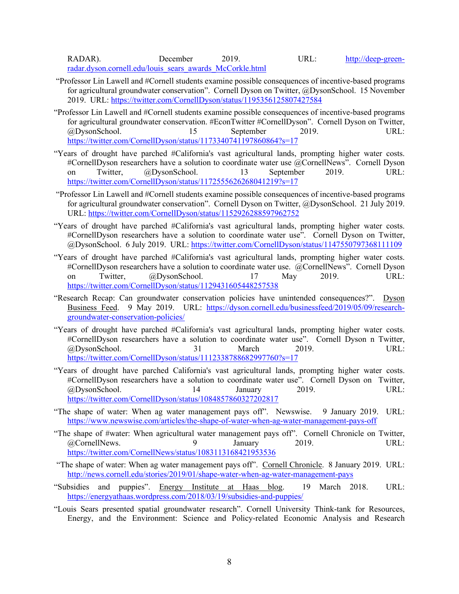RADAR). December 2019. URL: [http://deep-green](http://deep-green-radar.dyson.cornell.edu/louis_sears_awards_McCorkle.html)[radar.dyson.cornell.edu/louis\\_sears\\_awards\\_McCorkle.html](http://deep-green-radar.dyson.cornell.edu/louis_sears_awards_McCorkle.html) 

- "Professor Lin Lawell and #Cornell students examine possible consequences of incentive-based programs for agricultural groundwater conservation". Cornell Dyson on Twitter, @DysonSchool. 15 November 2019. URL:<https://twitter.com/CornellDyson/status/1195356125807427584>
- "Professor Lin Lawell and #Cornell students examine possible consequences of incentive-based programs for agricultural groundwater conservation. #EconTwitter #CornellDyson". Cornell Dyson on Twitter, @DysonSchool. 15 September 2019. URL: <https://twitter.com/CornellDyson/status/1173340741197860864?s=17>
- "Years of drought have parched #California's vast agricultural lands, prompting higher water costs. #CornellDyson researchers have a solution to coordinate water use @CornellNews". Cornell Dyson on Twitter, @DysonSchool. 13 September 2019. URL: <https://twitter.com/CornellDyson/status/1172555626268041219?s=17>
- "Professor Lin Lawell and #Cornell students examine possible consequences of incentive-based programs for agricultural groundwater conservation". Cornell Dyson on Twitter, @DysonSchool. 21 July 2019. URL:<https://twitter.com/CornellDyson/status/1152926288597962752>
- "Years of drought have parched #California's vast agricultural lands, prompting higher water costs. #CornellDyson researchers have a solution to coordinate water use". Cornell Dyson on Twitter, @DysonSchool. 6 July 2019. URL:<https://twitter.com/CornellDyson/status/1147550797368111109>
- "Years of drought have parched #California's vast agricultural lands, prompting higher water costs. #CornellDyson researchers have a solution to coordinate water use. @CornellNews". Cornell Dyson on Twitter, @DysonSchool. 17 May 2019. URL: <https://twitter.com/CornellDyson/status/1129431605448257538>
- "Research Recap: Can groundwater conservation policies have unintended consequences?". Dyson Business Feed. 9 May 2019. URL: [https://dyson.cornell.edu/businessfeed/2019/05/09/research](https://dyson.cornell.edu/businessfeed/2019/05/09/research-groundwater-conservation-policies/)[groundwater-conservation-policies/](https://dyson.cornell.edu/businessfeed/2019/05/09/research-groundwater-conservation-policies/)
- "Years of drought have parched #California's vast agricultural lands, prompting higher water costs. #CornellDyson researchers have a solution to coordinate water use". Cornell Dyson n Twitter, @DysonSchool. 31 March 2019. URL: <https://twitter.com/CornellDyson/status/1112338788682997760?s=17>
- "Years of drought have parched California's vast agricultural lands, prompting higher water costs. #CornellDyson researchers have a solution to coordinate water use". Cornell Dyson on Twitter, @DysonSchool. 14 January 2019. URL: <https://twitter.com/CornellDyson/status/1084857860327202817>
- "The shape of water: When ag water management pays off". Newswise. 9 January 2019. URL: <https://www.newswise.com/articles/the-shape-of-water-when-ag-water-management-pays-off>
- "The shape of #water: When agricultural water management pays off". Cornell Chronicle on Twitter, @CornellNews. 9 January 2019. URL: <https://twitter.com/CornellNews/status/1083113168421953536>
- "The shape of water: When ag water management pays off". Cornell Chronicle. 8 January 2019. URL: <http://news.cornell.edu/stories/2019/01/shape-water-when-ag-water-management-pays>
- "Subsidies and puppies". Energy Institute at Haas blog. 19 March 2018. URL: <https://energyathaas.wordpress.com/2018/03/19/subsidies-and-puppies/>
- "Louis Sears presented spatial groundwater research". Cornell University Think-tank for Resources, Energy, and the Environment: Science and Policy-related Economic Analysis and Research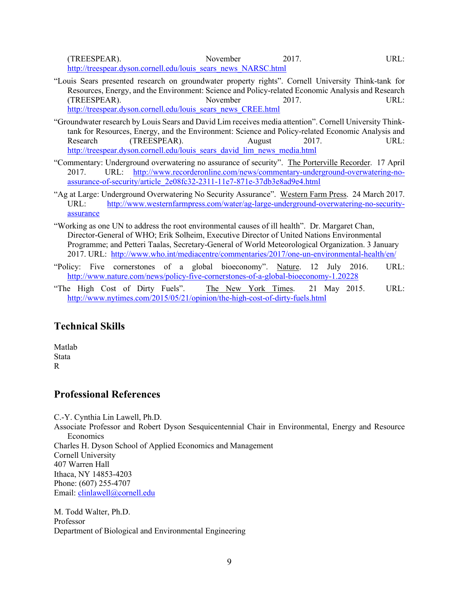(TREESPEAR). November 2017. URL: [http://treespear.dyson.cornell.edu/louis\\_sears\\_news\\_NARSC.html](http://treespear.dyson.cornell.edu/louis_sears_news_NARSC.html) 

- "Louis Sears presented research on groundwater property rights". Cornell University Think-tank for Resources, Energy, and the Environment: Science and Policy-related Economic Analysis and Research (TREESPEAR). November 2017. URL: [http://treespear.dyson.cornell.edu/louis\\_sears\\_news\\_CREE.html](http://treespear.dyson.cornell.edu/louis_sears_news_CREE.html)
- "Groundwater research by Louis Sears and David Lim receives media attention". Cornell University Thinktank for Resources, Energy, and the Environment: Science and Policy-related Economic Analysis and Research (TREESPEAR). August 2017. URL: [http://treespear.dyson.cornell.edu/louis\\_sears\\_david\\_lim\\_news\\_media.html](http://treespear.dyson.cornell.edu/louis_sears_david_lim_news_media.html)
- "Commentary: Underground overwatering no assurance of security". The Porterville Recorder. 17 April 2017. URL: [http://www.recorderonline.com/news/commentary-underground-overwatering-no](http://www.recorderonline.com/news/commentary-underground-overwatering-no-assurance-of-security/article_2e08fc32-2311-11e7-871e-37db3e8ad9e4.html)[assurance-of-security/article\\_2e08fc32-2311-11e7-871e-37db3e8ad9e4.html](http://www.recorderonline.com/news/commentary-underground-overwatering-no-assurance-of-security/article_2e08fc32-2311-11e7-871e-37db3e8ad9e4.html)
- "Ag at Large: Underground Overwatering No Security Assurance". Western Farm Press. 24 March 2017. URL: [http://www.westernfarmpress.com/water/ag-large-underground-overwatering-no-security](http://www.westernfarmpress.com/water/ag-large-underground-overwatering-no-security-assurance)[assurance](http://www.westernfarmpress.com/water/ag-large-underground-overwatering-no-security-assurance)
- "Working as one UN to address the root environmental causes of ill health". Dr. Margaret Chan, Director-General of WHO; Erik Solheim, Executive Director of United Nations Environmental Programme; and Petteri Taalas, Secretary-General of World Meteorological Organization. 3 January 2017. URL: <http://www.who.int/mediacentre/commentaries/2017/one-un-environmental-health/en/>
- "Policy: Five cornerstones of a global bioeconomy". Nature. 12 July 2016. URL: <http://www.nature.com/news/policy-five-cornerstones-of-a-global-bioeconomy-1.20228>
- "The High Cost of Dirty Fuels". The New York Times. 21 May 2015. URL: <http://www.nytimes.com/2015/05/21/opinion/the-high-cost-of-dirty-fuels.html>

## **Technical Skills**

Matlab **Stata** R

## **Professional References**

C.-Y. Cynthia Lin Lawell, Ph.D.

Associate Professor and Robert Dyson Sesquicentennial Chair in Environmental, Energy and Resource Economics Charles H. Dyson School of Applied Economics and Management

Cornell University 407 Warren Hall Ithaca, NY 14853-4203 Phone: (607) 255-4707

Email: [clinlawell@cornell.edu](mailto:clinlawell@cornell.edu)  M. Todd Walter, Ph.D. Professor

Department of Biological and Environmental Engineering